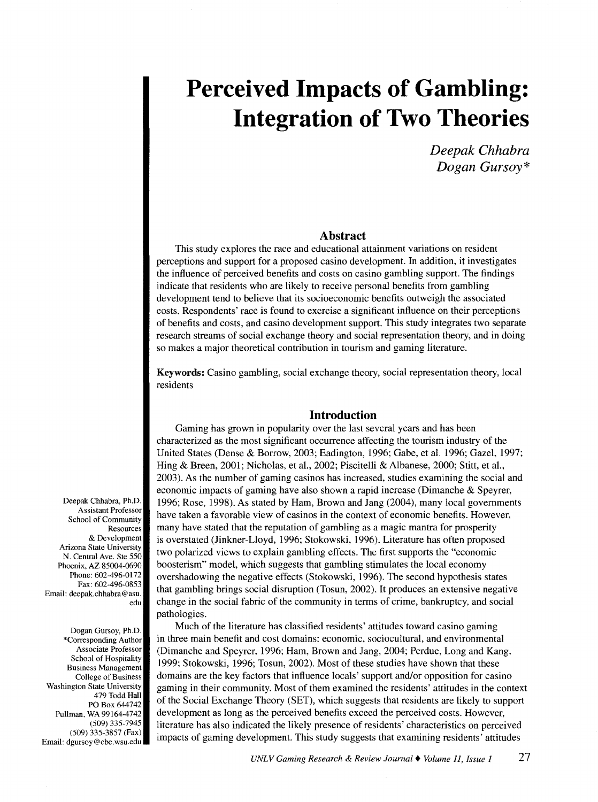*Deepak Chhabra Dogan Gursoy\** 

# **Abstract**

This study explores the race and educational attainment variations on resident perceptions and support for a proposed casino development. In addition, it investigates the influence of perceived benefits and costs on casino gambling support. The findings indicate that residents who are likely to receive personal benefits from gambling development tend to believe that its socioeconomic benefits outweigh the associated costs. Respondents' race is found to exercise a significant influence on their perceptions of benefits and costs, and casino development support. This study integrates two separate research streams of social exchange theory and social representation theory, and in doing so makes a major theoretical contribution in tourism and gaming literature.

Keywords: Casino gambling, social exchange theory, social representation theory, local residents

# **Introduction**

Gaming has grown in popularity over the last several years and has been characterized as the most significant occurrence affecting the tourism industry of the United States (Dense & Borrow, 2003; Eadington, 1996; Gabe, et al. 1996; Gaze!, 1997; Hing & Breen, 2001; Nicholas, et al., 2002; Piscitelli & Albanese, 2000; Stitt, et al., 2003). As the number of gaming casinos has increased, studies examining the social and economic impacts of gaming have also shown a rapid increase (Dimanche & Speyrer, 1996; Rose, 1998). As stated by Ham, Brown and Jang (2004), many local governments have taken a favorable view of casinos in the context of economic benefits. However, many have stated that the reputation of gambling as a magic mantra for prosperity is overstated (Jinkner-Lloyd, 1996; Stokowski, 1996). Literature has often proposed two polarized views to explain gambling effects. The first supports the "economic boosterism" model, which suggests that gambling stimulates the local economy overshadowing the negative effects (Stokowski, 1996). The second hypothesis states that gambling brings social disruption (Tosun, 2002). It produces an extensive negative change in the social fabric of the community in terms of crime, bankruptcy, and social pathologies.

Much of the literature has classified residents' attitudes toward casino gaming in three main benefit and cost domains: economic, sociocultural, and environmental (Dimanche and Speyrer, 1996; Ham, Brown and Jang, 2004; Perdue, Long and Kang, 1999; Stokowski, 1996; Tosun, 2002). Most of these studies have shown that these domains are the key factors that influence locals' support and/or opposition for casino gaming in their community. Most of them examined the residents' attitudes in the context of the Social Exchange Theory (SET), which suggests that residents are likely to support development as long as the perceived benefits exceed the perceived costs. However, literature has also indicated the likely presence of residents' characteristics on perceived impacts of gaming development. This study suggests that examining residents' attitudes

Deepak Chhabra, Ph.D. Assistant Professor School of Community Resources & Development Arizona State University N. Central Ave. Ste 550 Phoenix, AZ 85004-0690 Phone: 602-496-0172 Fax: 602-496-0853 Email: deepak.chhabra@asu. edu

Dogan Gursoy, Ph.D. \*Corresponding Author Associate Professor School of Hospitality Business Management College of Business Washington State University 479 Todd Hall PO Box 644742 Pullman, WA 99164-4742 (509) 335-7945 (509) 335-3857 (Fax) Email: dgursoy@cbe.wsu.edu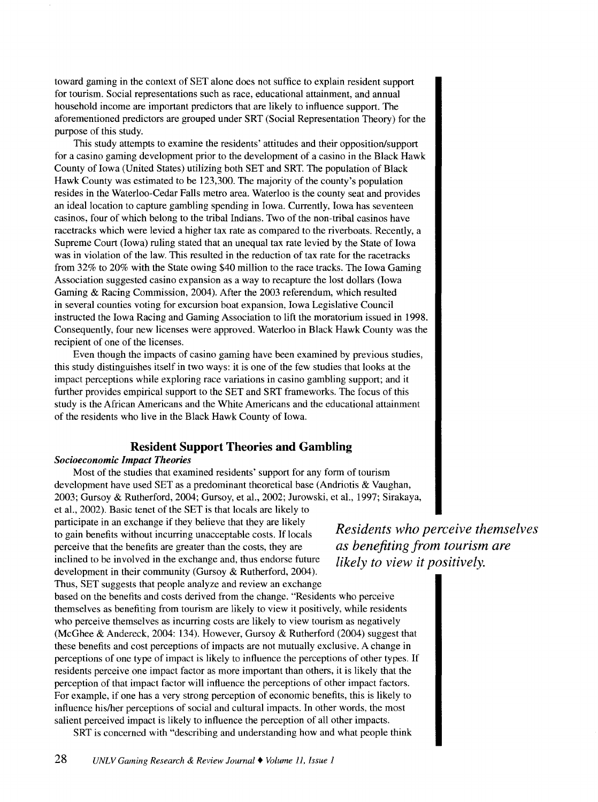toward gaming in the context of SET alone does not suffice to explain resident support for tourism. Social representations such as race, educational attainment, and annual household income are important predictors that are likely to influence support. The aforementioned predictors are grouped under SRT (Social Representation Theory) for the purpose of this study.

This study attempts to examine the residents' attitudes and their opposition/support for a casino gaming development prior to the development of a casino in the Black Hawk County of Iowa (United States) utilizing both SET and SRT. The population of Black Hawk County was estimated to be 123,300. The majority of the county's population resides in the Waterloo-Cedar Falls metro area. Waterloo is the county seat and provides an ideal location to capture gambling spending in Iowa. Currently, Iowa has seventeen casinos, four of which belong to the tribal Indians. Two of the non-tribal casinos have racetracks which were levied a higher tax rate as compared to the riverboats. Recently, a Supreme Court (Iowa) ruling stated that an unequal tax rate levied by the State of Iowa was in violation of the law. This resulted in the reduction of tax rate for the racetracks from 32% to 20% with the State owing \$40 million to the race tracks. The Iowa Gaming Association suggested casino expansion as a way to recapture the lost dollars (Iowa Gaming & Racing Commission, 2004). After the 2003 referendum, which resulted in several counties voting for excursion boat expansion, Iowa Legislative Council instructed the Iowa Racing and Gaming Association to lift the moratorium issued in 1998. Consequently, four new licenses were approved. Waterloo in Black Hawk County was the recipient of one of the licenses.

Even though the impacts of casino gaming have been examined by previous studies, this study distinguishes itself in two ways: it is one of the few studies that looks at the impact perceptions while exploring race variations in casino gambling support; and it further provides empirical support to the SET and SRT frameworks. The focus of this study is the African Americans and the White Americans and the educational attainment of the residents who live in the Black Hawk County of Iowa.

# **Resident Support Theories and Gambling**

#### *Socioeconomic Impact Theories*

Most of the studies that examined residents' support for any form of tourism development have used SET as a predominant theoretical base (Andriotis & Vaughan, 2003; Gursoy & Rutherford, 2004; Gursoy, et al., 2002; Jurowski, et al., 1997; Sirakaya,

et al., 2002). Basic tenet of the SET is that locals are likely to participate in an exchange if they believe that they are likely to gain benefits without incurring unacceptable costs. If locals perceive that the benefits are greater than the costs, they are inclined to be involved in the exchange and, thus endorse future development in their community (Gursoy & Rutherford, 2004).

Thus, SET suggests that people analyze and review an exchange based on the benefits and costs derived from the change. "Residents who perceive themselves as benefiting from tourism are likely to view it positively, while residents who perceive themselves as incurring costs are likely to view tourism as negatively (McGhee & Andereck, 2004: 134). However, Gursoy & Rutherford (2004) suggest that these benefits and cost perceptions of impacts are not mutually exclusive. A change in perceptions of one type of impact is likely to influence the perceptions of other types. If residents perceive one impact factor as more important than others, it is likely that the perception of that impact factor will influence the perceptions of other impact factors. For example, if one has a very strong perception of economic benefits, this is likely to influence his/her perceptions of social and cultural impacts. In other words, the most salient perceived impact is likely to influence the perception of all other impacts.

SRT is concerned with "describing and understanding how and what people think

*Residents who perceive themselves as benefiting from tourism are likely to view it positively.*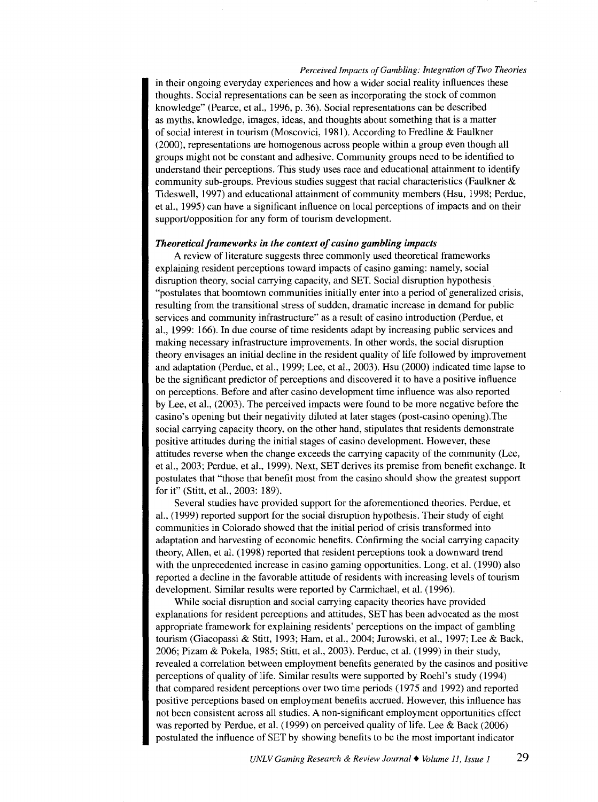in their ongoing everyday experiences and how a wider social reality influences these thoughts. Social representations can be seen as incorporating the stock of common knowledge" (Pearce, et al., 1996, p. 36). Social representations can be described as myths, knowledge, images, ideas, and thoughts about something that is a matter of social interest in tourism (Moscovici, 1981). According to Fredline & Faulkner (2000), representations are homogenous across people within a group even though all groups might not be constant and adhesive. Community groups need to be identified to understand their perceptions. This study uses race and educational attainment to identify community sub-groups. Previous studies suggest that racial characteristics (Faulkner  $\&$ Tides well, 1997) and educational attainment of community members (Hsu, 1998; Perdue, et al., 1995) can have a significant influence on local perceptions of impacts and on their support/opposition for any form of tourism development.

#### *Theoretical frameworks in the context of casino gambling impacts*

A review of literature suggests three commonly used theoretical frameworks explaining resident perceptions toward impacts of casino gaming: namely, social disruption theory, social carrying capacity, and SET. Social disruption hypothesis . "postulates that boomtown communities initially enter into a period of generalized crisis, resulting from the transitional stress of sudden, dramatic increase in demand for public services and community infrastructure" as a result of casino introduction (Perdue, et al., 1999: 166). In due course of time residents adapt by increasing public services and making necessary infrastructure improvements. In other words, the social disruption theory envisages an initial decline in the resident quality of life followed by improvement and adaptation (Perdue, et al., 1999; Lee, et al., 2003). Hsu (2000) indicated time lapse to be the significant predictor of perceptions and discovered it to have a positive influence on perceptions. Before and after casino development time influence was also reported by Lee, et al., (2003). The perceived impacts were found to be more negative before the casino's opening but their negativity diluted at later stages (post-casino opening). The social carrying capacity theory, on the other hand, stipulates that residents demonstrate positive attitudes during the initial stages of casino development. However, these attitudes reverse when the change exceeds the carrying capacity of the community (Lee, et al., 2003; Perdue, et al., 1999). Next, SET derives its premise from benefit exchange. It postulates that "those that benefit most from the casino should show the greatest support for it" (Stitt, et al., 2003: 189).

Several studies have provided support for the aforementioned theories. Perdue, et al., (1999) reported support for the social disruption hypothesis. Their study of eight communities in Colorado showed that the initial period of crisis transformed into adaptation and harvesting of economic benefits. Confirming the social carrying capacity theory, Allen, et al. (1998) reported that resident perceptions took a downward trend with the unprecedented increase in casino gaming opportunities. Long, et al. (1990) also reported a decline in the favorable attitude of residents with increasing levels of tourism development. Similar results were reported by Carmichael, et al. (1996).

While social disruption and social carrying capacity theories have provided explanations for resident perceptions and attitudes, SET has been advocated as the most appropriate framework for explaining residents' perceptions on the impact of gambling tourism (Giacopassi & Stitt, 1993; Ham, et al., 2004; Jurowski, et al., 1997; Lee & Back, 2006; Pizam & Pokela, 1985; Stitt, et al., 2003). Perdue, et al. (1999) in their study, revealed a correlation between employment benefits generated by the casinos and positive perceptions of quality of life. Similar results were supported by Roehl's study (1994) that compared resident perceptions over two time periods (1975 and 1992) and reported positive perceptions based on employment benefits accrued. However, this influence has not been consistent across all studies. A non-significant employment opportunities effect was reported by Perdue, et al. ( 1999) on perceived quality of life. Lee & Back (2006) postulated the influence of SET by showing benefits to be the most important indicator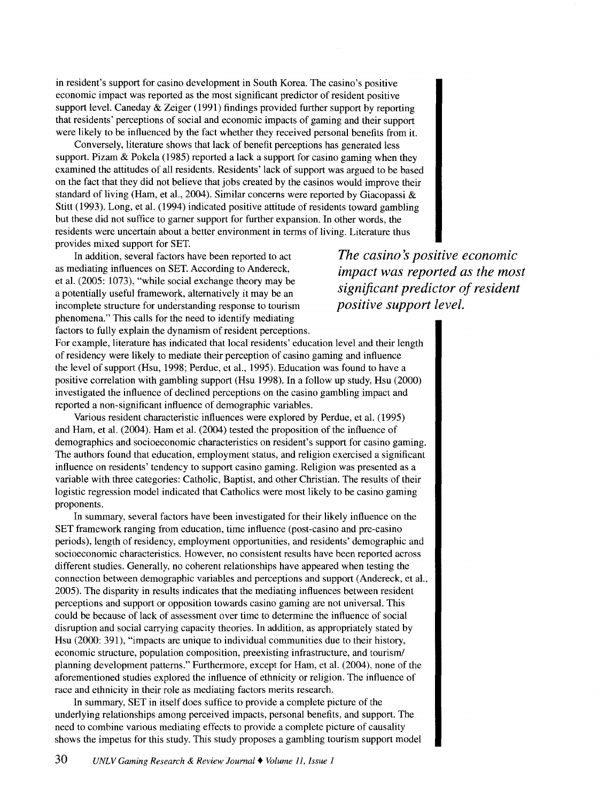in resident's support for casino development in South Korea. The casino's positive economic impact was reported as the most significant predictor of resident positive support level. Caneday  $\&$  Zeiger (1991) findings provided further support by reporting that residents' perceptions of social and economic impacts of gaming and their support were likely to be influenced by the fact whether they received personal benefits from it.

Conversely, literature shows that lack of benefit perceptions has generated less support. Pizam & Pokela (1985) reported a lack a support for casino gaming when they examined the attitudes of all residents. Residents' lack of support was argued to be based on the fact that they did not believe that jobs created by the casinos would improve their standard of living (Ham, et al., 2004). Similar concerns were reported by Giacopassi  $\&$ Stitt (1993). Long, et al. (1994) indicated positive attitude of residents toward gambling but these did not suffice to garner support for further expansion. In other words, the residents were uncertain about a better environment in terms of living. Literature thus provides mixed support for SET.

In addition, several factors have been reported to act as mediating influences on SET. According to Andereck, et al. (2005: 1073), "while social exchange theory may be a potentially useful framework, alternatively it may be an incomplete structure for understanding response to tourism phenomena." This calls for the need to identify mediating factors to fully explain the dynamism of resident perceptions. The casino's positive economic *impact was reported as the most significant predictor of resident positive support level.* 

For example, literature has indicated that local residents' education level and their length of residency were likely to mediate their perception of casino gaming and influence the level of support (Hsu, 1998; Perdue, et al., 1995). Education was found to have a positive correlation with gambling support (Hsu 1998). In a follow up study, Hsu (2000) investigated the influence of declined perceptions on the casino gambling impact and reported a non-significant influence of demographic variables.

Various resident characteristic influences were explored by Perdue, et al. ( 1995) and Ham, et al. (2004). Ham et al. (2004) tested the proposition of the influence of demographics and socioeconomic characteristics on resident's support for casino gaming. The authors found that education, employment status, and religion exercised a significant influence on residents' tendency to support casino gaming. Religion was presented as a variable with three categories: Catholic, Baptist, and other Christian. The results of their logistic regression model indicated that Catholics were most likely to be casino gaming proponents.

In summary, several factors have been investigated for their likely influence on the SET framework ranging from education, time influence (post-casino and pre-casino periods), length of residency, employment opportunities, and residents' demographic and socioeconomic characteristics. However, no consistent results have been reported across different studies. Generally, no coherent relationships have appeared when testing the connection between demographic variables and perceptions and support (Andereck, et al., 2005). The disparity in results indicates that the mediating influences between resident perceptions and support or opposition towards casino gaming are not universal. This could be because of lack of assessment over time to determine the influence of social disruption and social carrying capacity theories. In addition, as appropriately stated by Hsu (2000: 391), "impacts are unique to individual communities due to their history, economic structure, population composition, preexisting infrastructure, and tourism/ planning development patterns." Furthermore, except for Ham, et al. (2004 ), none of the aforementioned studies explored the influence of ethnicity or religion. The influence of race and ethnicity in their role as mediating factors merits research.

In summary, SET in itself does suffice to provide a complete picture of the underlying relationships among perceived impacts, personal benefits, and support. The need to combine various mediating effects to provide a complete picture of causality shows the impetus for this study. This study proposes a gambling tourism support model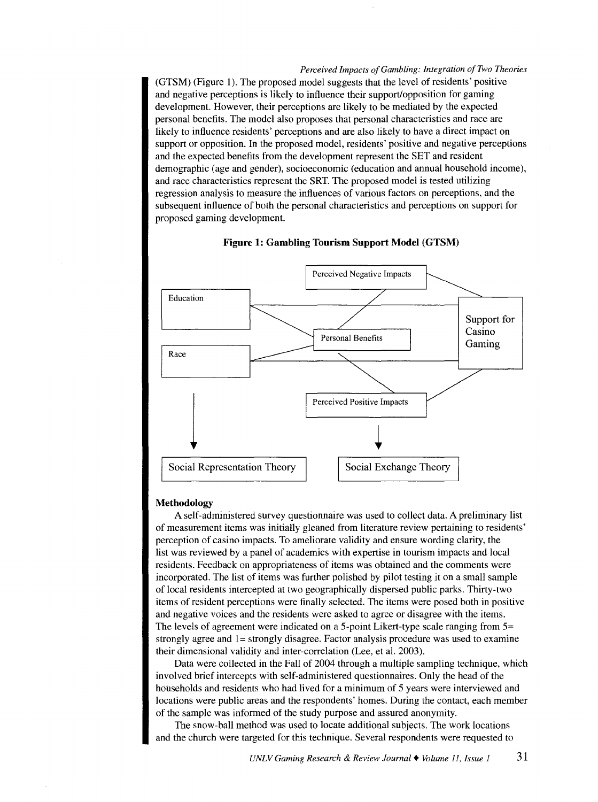(GTSM) (Figure 1). The proposed model suggests that the level of residents' positive and negative perceptions is likely to influence their support/opposition for gaming development. However, their perceptions are likely to be mediated by the expected personal benefits. The model also proposes that personal characteristics and race are likely to influence residents' perceptions and are also likely to have a direct impact on support or opposition. In the proposed model, residents' positive and negative perceptions and the expected benefits from the development represent the SET and resident demographic (age and gender), socioeconomic (education and annual household income), and race characteristics represent the SRT. The proposed model is tested utilizing regression analysis to measure the influences of various factors on perceptions, and the subsequent influence of both the personal characteristics and perceptions on support for proposed gaming development.



#### **Figure 1: Gambling Tourism Support Model (GTSM)**

#### **Methodology**

A self-administered survey questionnaire was used to collect data. A preliminary list of measurement items was initially gleaned from literature review pertaining to residents' perception of casino impacts. To ameliorate validity and ensure wording clarity, the list was reviewed by a panel of academics with expertise in tourism impacts and local residents. Feedback on appropriateness of items was obtained and the comments were incorporated. The list of items was further polished by pilot testing it on a small sample of local residents intercepted at two geographically dispersed public parks. Thirty-two items of resident perceptions were finally selected. The items were posed both in positive and negative voices and the residents were asked to agree or disagree with the items. The levels of agreement were indicated on a 5-point Likert-type scale ranging from 5= strongly agree and 1= strongly disagree. Factor analysis procedure was used to examine their dimensional validity and inter-correlation (Lee, et al. 2003).

Data were collected in the Fall of 2004 through a multiple sampling technique, which involved brief intercepts with self-administered questionnaires. Only the head of the households and residents who had lived for a minimum of 5 years were interviewed and locations were public areas and the respondents' homes. During the contact, each member of the sample was informed of the study purpose and assured anonymity.

The snow-ball method was used to locate additional subjects. The work locations and the church were targeted for this technique. Several respondents were requested to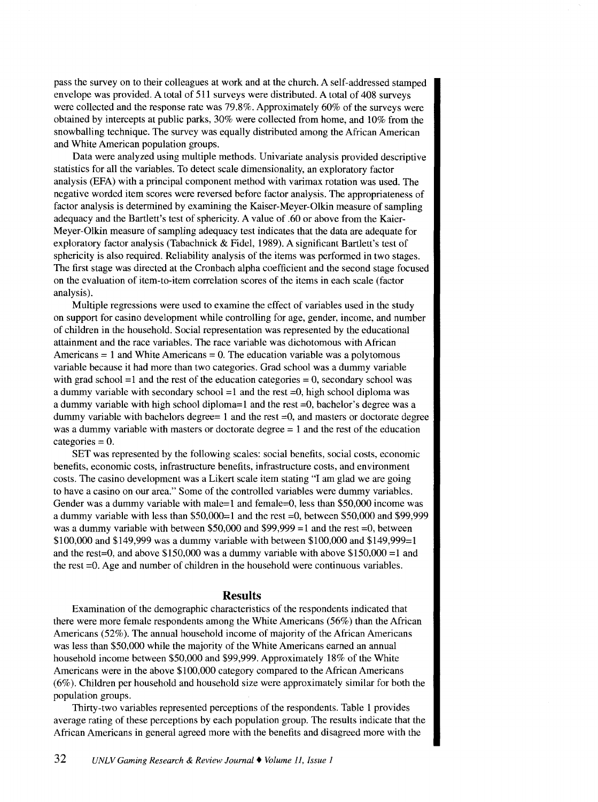pass the survey on to their colleagues at work and at the church. A self-addressed stamped envelope was provided. A total of 511 surveys were distributed. A total of 408 surveys were collected and the response rate was 79.8%. Approximately 60% of the surveys were obtained by intercepts at public parks, 30% were collected from home, and 10% from the snowballing technique. The survey was equally distributed among the African American and White American population groups.

Data were analyzed using multiple methods. Univariate analysis provided descriptive statistics for all the variables. To detect scale dimensionality, an exploratory factor analysis (EFA) with a principal component method with varimax rotation was used. The negative worded item scores were reversed before factor analysis. The appropriateness of factor analysis is determined by examining the Kaiser-Meyer-Olkin measure of sampling adequacy and the Bartlett's test of sphericity. A value of .60 or above from the Kaier-Meyer-Olkin measure of sampling adequacy test indicates that the data are adequate for exploratory factor analysis (Tabachnick & Fidel, 1989). A significant Bartlett's test of sphericity is also required. Reliability analysis of the items was performed in two stages. The first stage was directed at the Cronbach alpha coefficient and the second stage focused on the evaluation of item-to-item correlation scores of the items in each scale (factor analysis).

Multiple regressions were used to examine the effect of variables used in the study on support for casino development while controlling for age, gender, income, and number of children in the household. Social representation was represented by the educational attainment and the race variables. The race variable was dichotomous with African Americans  $= 1$  and White Americans  $= 0$ . The education variable was a polytomous variable because it had more than two categories. Grad school was a dummy variable with grad school  $=1$  and the rest of the education categories  $= 0$ , secondary school was a dummy variable with secondary school  $=1$  and the rest  $=0$ , high school diploma was a dummy variable with high school diploma=1 and the rest =0, bachelor's degree was a dummy variable with bachelors degree=  $1$  and the rest  $=0$ , and masters or doctorate degree was a dummy variable with masters or doctorate degree = 1 and the rest of the education  $categorical = 0$ .

SET was represented by the following scales: social benefits, social costs, economic benefits, economic costs, infrastructure benefits, infrastructure costs, and environment costs. The casino development was a Likert scale item stating "I am glad we are going to have a casino on our area." Some of the controlled variables were dummy variables. Gender was a dummy variable with male=1 and female=0, less than \$50,000 income was a dummy variable with less than \$50,000=1 and the rest =0, between \$50,000 and \$99,999 was a dummy variable with between  $$50,000$  and  $$99,999 = 1$  and the rest =0, between \$100,000 and \$149,999 was a dummy variable with between \$100,000 and \$149,999=1 and the rest=0, and above  $$150,000$  was a dummy variable with above  $$150,000 =1$  and the rest =0. Age and number of children in the household were continuous variables.

## **Results**

Examination of the demographic characteristics of the respondents indicated that there were more female respondents among the White Americans  $(56%)$  than the African Americans (52%). The annual household income of majority of the African Americans was less than \$50,000 while the majority of the White Americans earned an annual household income between \$50,000 and \$99,999. Approximately 18% of the White Americans were in the above \$100,000 category compared to the African Americans (6%). Children per household and household size were approximately similar for both the population groups.

Thirty-two variables represented perceptions of the respondents. Table l provides average rating of these perceptions by each population group. The results indicate that the African Americans in general agreed more with the benefits and disagreed more with the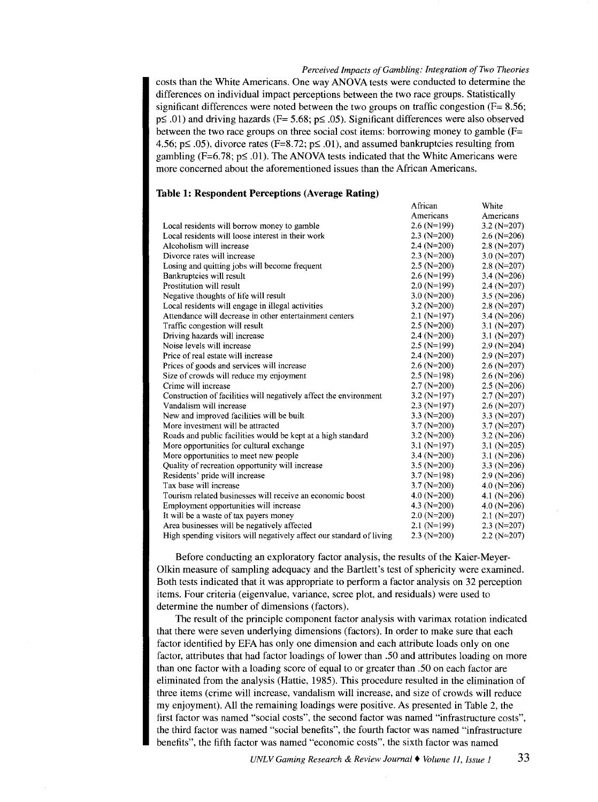African

White

costs than the White Americans. One way ANOVA tests were conducted to determine the differences on individual impact perceptions between the two race groups. Statistically significant differences were noted between the two groups on traffic congestion  $(F= 8.56;$  $p\leq$  .01) and driving hazards (F= 5.68;  $p\leq$  .05). Significant differences were also observed between the two race groups on three social cost items: borrowing money to gamble  $(F=$ 4.56;  $p \leq .05$ ), divorce rates (F=8.72;  $p \leq .01$ ), and assumed bankruptcies resulting from gambling (F=6.78;  $p \le 0.01$ ). The ANOVA tests indicated that the White Americans were more concerned about the aforementioned issues than the African Americans.

## **Table 1: Respondent Perceptions (Average Rating)**

|                                                                      | Americans       | Americans       |
|----------------------------------------------------------------------|-----------------|-----------------|
| Local residents will borrow money to gamble                          | $2.6$ (N=199)   | 3.2 ( $N=207$ ) |
| Local residents will loose interest in their work                    | $2.3$ (N=200)   | $2.6$ (N=206)   |
| Alcoholism will increase                                             | $2.4$ (N=200)   | $2.8(N=207)$    |
| Divorce rates will increase                                          | $2.3$ (N=200)   | $3.0$ (N=207)   |
| Losing and quitting jobs will become frequent                        | $2.5$ (N=200)   | $2.8(N=207)$    |
| Bankruptcies will result                                             | $2.6(N=199)$    | 3.4 ( $N=206$ ) |
| Prostitution will result                                             | $2.0$ (N=199)   | $2.4$ (N=207)   |
| Negative thoughts of life will result                                | $3.0$ (N=200)   | $3.5$ (N=206)   |
| Local residents will engage in illegal activities                    | $3.2(N=200)$    | $2.8(N=207)$    |
| Attendance will decrease in other entertainment centers              | $2.1$ (N=197)   | 3.4 $(N=206)$   |
| Traffic congestion will result                                       | $2.5$ (N=200)   | 3.1 $(N=207)$   |
| Driving hazards will increase                                        | $2.4$ (N=200)   | 3.1 $(N=207)$   |
| Noise levels will increase                                           | $2.5$ (N=199)   | $2.9$ (N=204)   |
| Price of real estate will increase                                   | $2.4$ (N=200)   | $2.9$ (N=207)   |
| Prices of goods and services will increase                           | $2.6$ (N=200)   | $2.6$ (N=207)   |
| Size of crowds will reduce my enjoyment                              | $2.5$ (N=198)   | $2.6$ (N=206)   |
| Crime will increase                                                  | $2.7(N=200)$    | $2.5$ (N=206)   |
| Construction of facilities will negatively affect the environment    | $3.2$ (N=197)   | $2.7(N=207)$    |
| Vandalism will increase                                              | $2.3$ (N=197)   | $2.6$ (N=207)   |
| New and improved facilities will be built                            | 3.3 $(N=200)$   | 3.3 $(N=207)$   |
| More investment will be attracted                                    | $3.7(N=200)$    | $3.7(N=207)$    |
| Roads and public facilities would be kept at a high standard         | $3.2(N=200)$    | $3.2(N=206)$    |
| More opportunities for cultural exchange                             | $3.1$ (N=197)   | 3.1 $(N=205)$   |
| More opportunities to meet new people                                | $3.4(N=200)$    | 3.1 $(N=206)$   |
| Quality of recreation opportunity will increase                      | 3.5 ( $N=200$ ) | 3.3 $(N=206)$   |
| Residents' pride will increase                                       | $3.7 (N=198)$   | $2.9(N=206)$    |
| Tax base will increase                                               | $3.7(N=200)$    | 4.0 $(N=206)$   |
| Tourism related businesses will receive an economic boost            | $4.0$ (N=200)   | 4.1 ( $N=206$ ) |
| Employment opportunities will increase                               | 4.3 $(N=200)$   | $4.0$ (N=206)   |
| It will be a waste of tax payers money                               | $2.0$ (N=200)   | $2.1(N=207)$    |
| Area businesses will be negatively affected                          | $2.1$ (N=199)   | $2.3$ (N=207)   |
| High spending visitors will negatively affect our standard of living | $2.3$ (N=200)   | $2.2(N=207)$    |
|                                                                      |                 |                 |

Before conducting an exploratory factor analysis, the results of the Kaier-Meyer-Olkin measure of sampling adequacy and the Bartlett's test of sphericity were examined. Both tests indicated that it was appropriate to perform a factor analysis on 32 perception items. Four criteria (eigenvalue, variance, scree plot, and residuals) were used to determine the number of dimensions (factors).

The result of the principle component factor analysis with varimax rotation indicated that there were seven underlying dimensions (factors). In order to make sure that each factor identified by EFA has only one dimension and each attribute loads only on one factor, attributes that had factor loadings of lower than .50 and attributes loading on more than one factor with a loading score of equal to or greater than .50 on each factor are eliminated from the analysis (Hattie, 1985). This procedure resulted in the elimination of three items (crime will increase, vandalism will increase, and size of crowds will reduce my enjoyment). All the remaining loadings were positive. As presented in Table 2, the first factor was named "social costs", the second factor was named "infrastructure costs", the third factor was named "social benefits", the fourth factor was named "infrastructure benefits", the fifth factor was named "economic costs", the sixth factor was named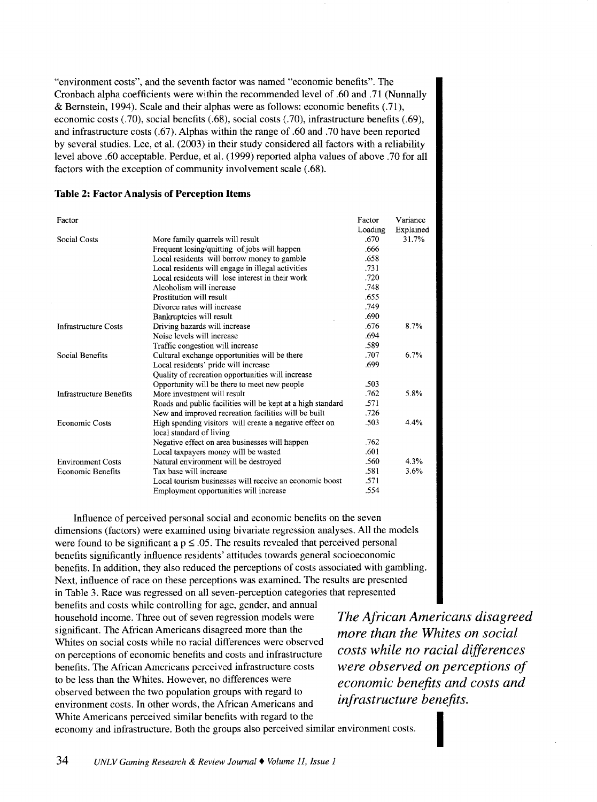"environment costs", and the seventh factor was named "economic benefits". The Cronbach alpha coefficients were within the recommended level of .60 and .71 (Nunnally & Bernstein, 1994). Scale and their alphas were as follows: economic benefits (.71), economic costs (.70), social benefits (.68), social costs (.70), infrastructure benefits (.69), and infrastructure costs (.67). Alphas within the range of .60 and .70 have been reported by several studies. Lee, et al. (2003) in their study considered all factors with a reliability level above .60 acceptable. Perdue, et al. (1999) reported alpha values of above .70 for all factors with the exception of community involvement scale (.68).

| Factor                         |                                                             | Factor  | Variance  |
|--------------------------------|-------------------------------------------------------------|---------|-----------|
|                                |                                                             | Loading | Explained |
| <b>Social Costs</b>            | More family quarrels will result                            | .670    | 31.7%     |
|                                | Frequent losing/quitting of jobs will happen                | .666    |           |
|                                | Local residents will borrow money to gamble                 | .658    |           |
|                                | Local residents will engage in illegal activities           | .731    |           |
|                                | Local residents will lose interest in their work            | .720    |           |
|                                | Alcoholism will increase                                    | .748    |           |
|                                | Prostitution will result                                    | .655    |           |
|                                | Divorce rates will increase                                 | .749    |           |
|                                | Bankruptcies will result                                    | .690    |           |
| <b>Infrastructure Costs</b>    | Driving hazards will increase                               | .676    | 8.7%      |
|                                | Noise levels will increase                                  | .694    |           |
|                                | Traffic congestion will increase                            | .589    |           |
| Social Benefits                | Cultural exchange opportunities will be there               | .707    | 6.7%      |
|                                | Local residents' pride will increase                        | .699    |           |
|                                | Quality of recreation opportunities will increase           |         |           |
|                                | Opportunity will be there to meet new people                | .503    |           |
| <b>Infrastructure Benefits</b> | More investment will result                                 | .762    | 5.8%      |
|                                | Roads and public facilities will be kept at a high standard | .571    |           |
|                                | New and improved recreation facilities will be built        | .726    |           |
| <b>Economic Costs</b>          | High spending visitors will create a negative effect on     | .503    | 4.4%      |
|                                | local standard of living                                    |         |           |
|                                | Negative effect on area businesses will happen              | .762    |           |
|                                | Local taxpayers money will be wasted                        | .601    |           |
| <b>Environment Costs</b>       | Natural environment will be destroyed                       | .560    | 4.3%      |
| <b>Economic Benefits</b>       | Tax base will increase                                      | .581    | 3.6%      |
|                                | Local tourism businesses will receive an economic boost     | .571    |           |
|                                | Employment opportunities will increase                      | .554    |           |

# **Table 2: Factor** Analysis of **Perception** Items

Influence of perceived personal social and economic benefits on the seven dimensions (factors) were examined using bivariate regression analyses. All the models were found to be significant a  $p \leq .05$ . The results revealed that perceived personal benefits significantly influence residents' attitudes towards general socioeconomic benefits. In addition, they also reduced the perceptions of costs associated with gambling. Next, influence of race on these perceptions was examined. The results are presented in Table 3. Race was regressed on all seven-perception categories that represented

benefits and costs while controlling for age, gender, and annual household income. Three out of seven regression models were significant. The African Americans disagreed more than the Whites on social costs while no racial differences were observed on perceptions of economic benefits and costs and infrastructure benefits. The African Americans perceived infrastructure costs to be less than the Whites. However, no differences were observed between the two population groups with regard to environment costs. In other words, the African Americans and White Americans perceived similar benefits with regard to the

*The African Americans disagreed more than the Whites on social costs while no racial differences were observed on perceptions of economic benefits and costs and infrastructure benefits.* 

economy and infrastructure. Both the groups also perceived similar environment costs.<br>  $1.1 \times 1000 \text{ N}$   $1.1 \times 1000 \text{ N}$   $1.1 \times 1000 \text{ N}$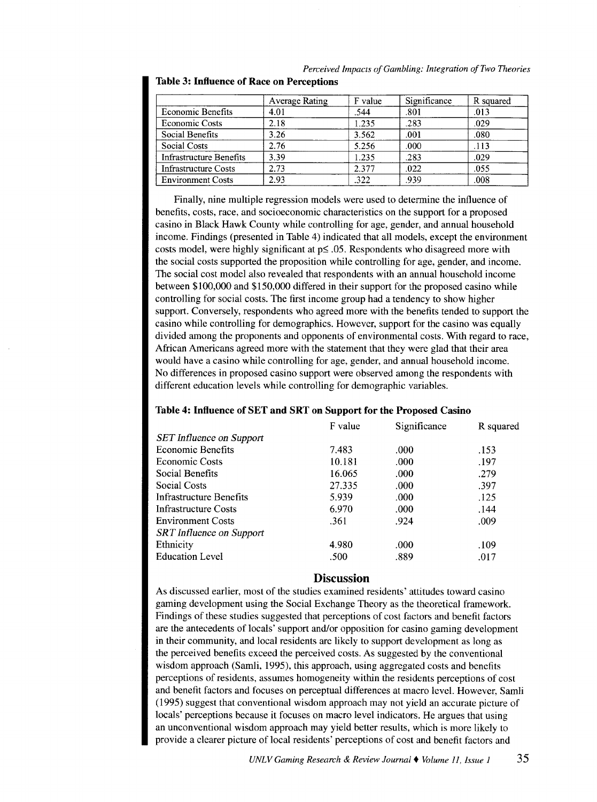|                                | <b>Average Rating</b> | F value | Significance | R squared |
|--------------------------------|-----------------------|---------|--------------|-----------|
| <b>Economic Benefits</b>       | 4.01                  | .544    | .801         | .013      |
| <b>Economic Costs</b>          | 2.18                  | 1.235   | .283         | .029      |
| Social Benefits                | 3.26                  | 3.562   | .001         | .080      |
| <b>Social Costs</b>            | 2.76                  | 5.256   | .000         | .113      |
| <b>Infrastructure Benefits</b> | 3.39                  | 1.235   | .283         | .029      |
| <b>Infrastructure Costs</b>    | 2.73                  | 2.377   | .022         | .055      |
| <b>Environment Costs</b>       | 2.93                  | .322    | .939         | .008      |

*Perceived Impacts of Gambling: Integration of Two Theories*  **Table 3: Influence of Race on Perceptions** 

Finally, nine multiple regression models were used to determine the influence of benefits, costs, race, and socioeconomic characteristics on the support for a proposed casino in Black Hawk County while controlling for age, gender, and annual household income. Findings (presented in Table 4) indicated that all models, except the environment costs model, were highly significant at  $p \leq .05$ . Respondents who disagreed more with the social costs supported the proposition while controlling for age, gender, and income. The social cost model also revealed that respondents with an annual household income between \$100,000 and \$150,000 differed in their support for the proposed casino while controlling for social costs. The first income group had a tendency to show higher support. Conversely, respondents who agreed more with the benefits tended to support the casino while controlling for demographics. However, support for the casino was equally divided among the proponents and opponents of environmental costs. With regard to race, African Americans agreed more with the statement that they were glad that their area would have a casino while controlling for age, gender, and annual household income. No differences in proposed casino support were observed among the respondents with different education levels while controlling for demographic variables.

## **Table 4: Influence of SET and SRT on Support for the Proposed Casino**

| F value | Significance | R squared |
|---------|--------------|-----------|
|         |              |           |
| 7.483   | .000         | .153      |
| 10.181  | .000         | .197      |
| 16.065  | .000         | .279      |
| 27.335  | .000         | .397      |
| 5.939   | .000         | .125      |
| 6.970   | .000         | .144      |
| .361    | .924         | .009      |
|         |              |           |
| 4.980   | .000         | .109      |
| .500    | .889         | .017      |
|         |              |           |

# **Discussion**

As discussed earlier, most of the studies examined residents' attitudes toward casino gaming development using the Social Exchange Theory as the theoretical framework. Findings of these studies suggested that perceptions of cost factors and benefit factors are the antecedents of locals' support and/or opposition for casino gaming development in their community, and local residents are likely to support development as long as the perceived benefits exceed the perceived costs. As suggested by the conventional wisdom approach (Samli, 1995), this approach, using aggregated costs and benefits perceptions of residents, assumes homogeneity within the residents perceptions of cost and benefit factors and focuses on perceptual differences at macro level. However, Samli (1995) suggest that conventional wisdom approach may not yield an accurate picture of locals' perceptions because it focuses on macro level indicators. He argues that using an unconventional wisdom approach may yield better results, which is more likely to provide a clearer picture of local residents' perceptions of cost and benefit factors and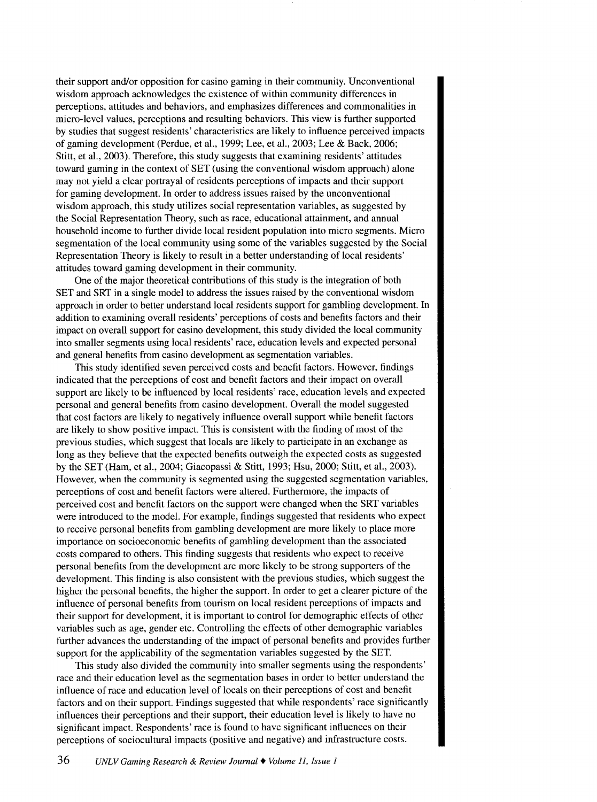their support and/or opposition for casino gaming in their community. Unconventional wisdom approach acknowledges the existence of within community differences in perceptions, attitudes and behaviors, and emphasizes differences and commonalities in micro-level values, perceptions and resulting behaviors. This view is further supported by studies that suggest residents' characteristics are likely to influence perceived impacts of gaming development (Perdue, et al., 1999; Lee, et al., 2003; Lee & Back, 2006; Stitt, et al., 2003). Therefore, this study suggests that examining residents' attitudes toward gaming in the context of SET (using the conventional wisdom approach) alone may not yield a clear portrayal of residents perceptions of impacts and their support for gaming development. In order to address issues raised by the unconventional wisdom approach, this study utilizes social representation variables, as suggested by the Social Representation Theory, such as race, educational attainment, and annual household income to further divide local resident population into micro segments. Micro segmentation of the local community using some of the variables suggested by the Social Representation Theory is likely to result in a better understanding of local residents' attitudes toward gaming development in their community.

One of the major theoretical contributions of this study is the integration of both SET and SRT in a single model to address the issues raised by the conventional wisdom approach in order to better understand local residents support for gambling development. In addition to examining overall residents' perceptions of costs and benefits factors and their impact on overall support for casino development, this study divided the local community into smaller segments using local residents' race, education levels and expected personal and general benefits from casino development as segmentation variables.

This study identified seven perceived costs and benefit factors. However, findings indicated that the perceptions of cost and benefit factors and their impact on overall support are likely to be influenced by local residents' race, education levels and expected personal and general benefits from casino development. Overall the model suggested that cost factors are likely to negatively influence overall support while benefit factors are likely to show positive impact. This is consistent with the finding of most of the previous studies, which suggest that locals are likely to participate in an exchange as long as they believe that the expected benefits outweigh the expected costs as suggested by the SET (Ham, et al., 2004; Giacopassi & Stitt, 1993; Hsu, 2000; Stitt, et al., 2003). However, when the community is segmented using the suggested segmentation variables, perceptions of cost and benefit factors were altered. Furthermore, the impacts of perceived cost and benefit factors on the support were changed when the SRT variables were introduced to the model. For example, findings suggested that residents who expect to receive personal benefits from gambling development are more likely to place more importance on socioeconomic benefits of gambling development than the associated costs compared to others. This finding suggests that residents who expect to receive personal benefits from the development are more likely to be strong supporters of the development. This finding is also consistent with the previous studies, which suggest the higher the personal benefits, the higher the support. In order to get a clearer picture of the influence of personal benefits from tourism on local resident perceptions of impacts and their support for development, it is important to control for demographic effects of other variables such as age, gender etc. Controlling the effects of other demographic variables further advances the understanding of the impact of personal benefits and provides further support for the applicability of the segmentation variables suggested by the SET.

This study also divided the community into smaller segments using the respondents' race and their education level as the segmentation bases in order to better understand the influence of race and education level of locals on their perceptions of cost and benefit factors and on their support. Findings suggested that while respondents' race significantly influences their perceptions and their support, their education level is likely to have no significant impact. Respondents' race is found to have significant influences on their perceptions of sociocultural impacts (positive and negative) and infrastructure costs.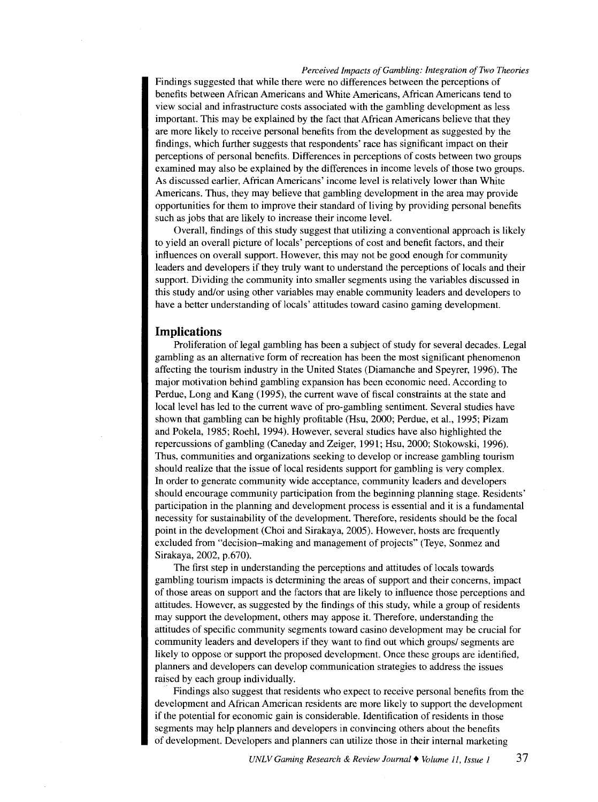Findings suggested that while there were no differences between the perceptions of benefits between African Americans and White Americans, African Americans tend to view social and infrastructure costs associated with the gambling development as less important. This may be explained by the fact that African Americans believe that they are more likely to receive personal benefits from the development as suggested by the findings, which further suggests that respondents' race has significant impact on their perceptions of personal benefits. Differences in perceptions of costs between two groups examined may also be explained by the differences in income levels of those two groups. As discussed earlier, African Americans' income level is relatively lower than White Americans. Thus, they may believe that gambling development in the area may provide opportunities for them to improve their standard of living by providing personal benefits such as jobs that are likely to increase their income level.

Overall, findings of this study suggest that utilizing a conventional approach is likely to yield an overall picture of locals' perceptions of cost and benefit factors, and their influences on overall support. However, this may not be good enough for community leaders and developers if they truly want to understand the perceptions of locals and their support. Dividing the community into smaller segments using the variables discussed in this study and/or using other variables may enable community leaders and developers to have a better understanding of locals' attitudes toward casino gaming development.

# **Implications**

Proliferation of legal gambling has been a subject of study for several decades. Legal gambling as an alternative form of recreation has been the most significant phenomenon affecting the tourism industry in the United States (Diamanche and Speyrer, 1996). The major motivation behind gambling expansion has been economic need. According to Perdue, Long and Kang (1995), the current wave of fiscal constraints at the state and local level has led to the current wave of pro-gambling sentiment. Several studies have shown that gambling can be highly profitable (Hsu, 2000; Perdue, et al., 1995; Pizam and Pokela, 1985; Roehl, 1994). However, several studies have also highlighted the repercussions of gambling (Caneday and Zeiger, 1991; Hsu, 2000; Stokowski, 1996). Thus, communities and organizations seeking to develop or increase gambling tourism should realize that the issue of local residents support for gambling is very complex. In order to generate community wide acceptance, community leaders and developers should encourage community participation from the beginning planning stage. Residents' participation in the planning and development process is essential and it is a fundamental necessity for sustainability of the development. Therefore, residents should be the focal point in the development (Choi and Sirakaya, 2005). However, hosts are frequently excluded from "decision-making and management of projects" (Teye, Sonmez and Sirakaya, 2002, p.670).

The first step in understanding the perceptions and attitudes of locals towards gambling tourism impacts is determining the areas of support and their concerns, impact of those areas on support and the factors that are likely to influence those perceptions and attitudes. However, as suggested by the findings of this study, while a group of residents may support the development, others may appose it. Therefore, understanding the attitudes of specific community segments toward casino development may be crucial for community leaders and developers if they want to find out which groups/ segments are likely to oppose or support the proposed development. Once these groups are identified, planners and developers can develop communication strategies to address the issues raised by each group individually.

. Findings also suggest that residents who expect to receive personal benefits from the development and African American residents are more likely to support the development if the potential for economic gain is considerable. Identification of residents in those segments may help planners and developers in convincing others about the benefits of development. Developers and planners can utilize those in their internal marketing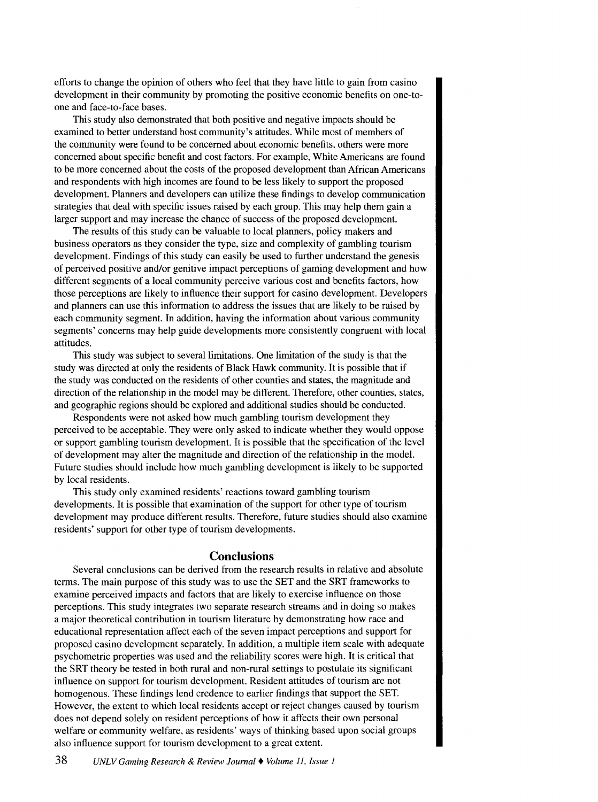efforts to change the opinion of others who feel that they have little to gain from casino development in their community by promoting the positive economic benefits on one-toone and face-to-face bases.

This study also demonstrated that both positive and negative impacts should be examined to better understand host community's attitudes. While most of members of the community were found to be concerned about economic benefits, others were more concerned about specific benefit and cost factors. For example, White Americans are found to be more concerned about the costs of the proposed development than African Americans and respondents with high incomes are found to be less likely to support the proposed development. Planners and developers can utilize these findings to develop communication strategies that deal with specific issues raised by each group. This may help them gain a larger support and may increase the chance of success of the proposed development.

The results of this study can be valuable to local planners, policy makers and business operators as they consider the type, size and complexity of gambling tourism development. Findings of this study can easily be used to further understand the genesis of perceived positive and/or genitive impact perceptions of gaming development and how different segments of a local community perceive various cost and benefits factors, how those perceptions are likely to influence their support for casino development. Developers and planners can use this information to address the issues that are likely to be raised by each community segment. In addition, having the information about various community segments' concerns may help guide developments more consistently congruent with local attitudes.

This study was subject to several limitations. One limitation of the study is that the study was directed at only the residents of Black Hawk community. It is possible that if the study was conducted on the residents of other counties and states, the magnitude and direction of the relationship in the model may be different. Therefore, other counties, states, and geographic regions should be explored and additional studies should be conducted.

Respondents were not asked how much gambling tourism development they perceived to be acceptable. They were only asked to indicate whether they would oppose or support gambling tourism development. It is possible that the specification of the level of development may alter the magnitude and direction of the relationship in the model. Future studies should include how much gambling development is likely to be supported by local residents.

This study only examined residents' reactions toward gambling tourism developments. It is possible that examination of the support for other type of tourism development may produce different results. Therefore, future studies should also examine residents' support for other type of tourism developments.

## **Conclusions**

Several conclusions can be derived from the research results in relative and absolute terms. The main purpose of this study was to use the SET and the SRT frameworks to examine perceived impacts and factors that are likely to exercise influence on those perceptions. This study integrates two separate research streams and in doing so makes a major theoretical contribution in tourism literature by demonstrating how race and educational representation affect each of the seven impact perceptions and support for proposed casino development separately. In addition, a multiple item scale with adequate psychometric properties was used and the reliability scores were high. It is critical that the SRT theory be tested in both rural and non-rural settings to postulate its significant influence on support for tourism development. Resident attitudes of tourism are not homogenous. These findings lend credence to earlier findings that support the SET. However, the extent to which local residents accept or reject changes caused by tourism does not depend solely on resident perceptions of how it affects their own personal welfare or community welfare, as residents' ways of thinking based upon social groups also influence support for tourism development to a great extent.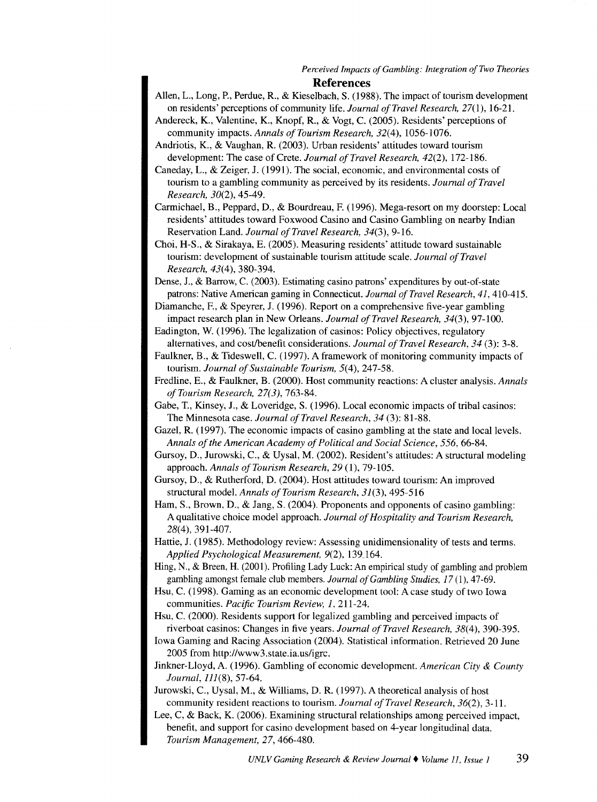- Allen, L., Long, P., Perdue, R., & Kieselbach, S. (1988). The impact of tourism development on residents' perceptions of community life. *Journal of Travel Research,* 27(1), 16-21.
- Andereck, K., Valentine, K., Knopf, R., & Vogt, C. (2005). Residents' perceptions of community impacts. *Annals of Tourism Research, 32(4)*, 1056-1076.
- Andriotis, K., & Vaughan, R. (2003). Urban residents' attitudes toward tourism development: The case of Crete. *Journal of Travel Research*, 42(2), 172-186.

Caneday, L., & Zeiger, J. (1991). The social, economic, and environmental costs of tourism to a gambling community as perceived by its residents. *Journal of Travel Research,* 30(2), 45-49.

Carmichael, B., Peppard, D., & Bourdreau, F. (1996). Mega-resort on my doorstep: Local residents' attitudes toward Foxwood Casino and Casino Gambling on nearby Indian Reservation Land. *Journal of Travel Research, 34(3),* 9-16.

Choi, H-S., & Sirakaya, E. (2005). Measuring residents' attitude toward sustainable tourism: development of sustainable tourism attitude scale. *Journal of Travel Research,* 43(4), 380-394.

Dense, J., & Barrow, C. (2003). Estimating casino patrons' expenditures by out-of-state patrons: Native American gaming in Connecticut. *Journal of Travel Research, 41,* 410-415.

Diamanche, F., & Speyrer, J. (1996). Report on a comprehensive five-year gambling impact research plan in New Orleans. *Journal of Travel Research, 34(3),* 97-100.

Eadington, W. (1996). The legalization of casinos: Policy objectives, regulatory alternatives, and cost/benefit considerations. *Journal of Travel Research, 34* (3): 3-8.

Faulkner, B., & Tides well, C. (1997). A framework of monitoring community impacts of tourism. *Journal of Sustainable Tourism,* 5(4), 247-58.

Fredline, E., & Faulkner, B. (2000). Host community reactions: A cluster analysis. *Annals of Tourism Research, 27(3),* 763-84.

Gabe, T., Kinsey, J., & Loveridge, S. (1996). Local economic impacts of tribal casinos: The Minnesota case. *Journal of Travel Research, 34* (3): 81-88.

Gazel, R. (1997). The economic impacts of casino gambling at the state and local levels. *Annals of the American Academy of Political and Social Science, 556,* 66-84.

Gursoy, D., Jurowski, C., & Uysal, M. (2002). Resident's attitudes: A structural modeling approach. *Annals of Tourism Research, 29* (1), 79-105.

Gursoy, D., & Rutherford, D. (2004). Host attitudes toward tourism: An improved structural model. *Annals of Tourism Research, 31(3),* 495-516

Ham, S., Brown, D., & Jang, S. (2004). Proponents and opponents of casino gambling: A qualitative choice model approach. *Journal of Hospitality and Tourism Research,*  28(4), 391-407.

Hattie, J. (1985). Methodology review: Assessing unidimensionality of tests and terms. *Applied Psychological Measurement,* 9(2), 139.164.

Hing, N., & Breen, H. (2001). Profiling Lady Luck: An empirical study of gambling and problem gambling amongst female club members. *Journal of Gambling Studies, 17* (1), 47-69.

Hsu, C. (1998). Gaming as an economic development tool: A case study of two Iowa communities. *Pacific Tourism Review, 1,* 211-24.

Hsu, C. (2000). Residents support for legalized gambling and perceived impacts of riverboat casinos: Changes in five years. *Journal of Travel Research,* 38(4), 390-395.

Iowa Gaming and Racing Association (2004). Statistical information. Retrieved 20 June 2005 from http://www3.state.ia.us/igrc.

Jinkner-Lloyd, A. (1996). Gambling of economic development. *American City* & *County Journal,* 111(8), 57-64.

Jurowski, C., Uysal, M., & Williams, D. R. (1997). A theoretical analysis of host community resident reactions to tourism. *Journal of Travel Research,* 36(2), 3-11.

Lee, C, & Back, K. (2006). Examining structural relationships among perceived impact, benefit, and support for casino development based on 4-year longitudinal data. *Tourism Management,* 27, 466-480.